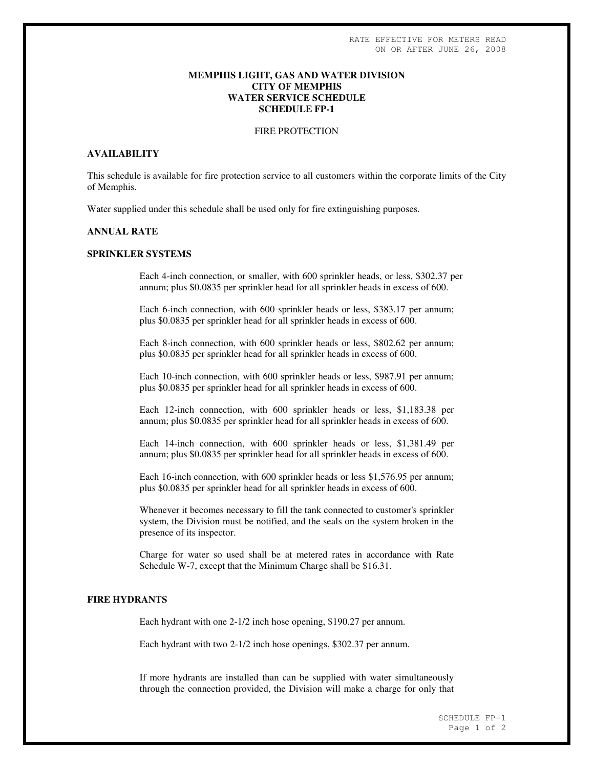### **MEMPHIS LIGHT, GAS AND WATER DIVISION CITY OF MEMPHIS WATER SERVICE SCHEDULE SCHEDULE FP-1**

#### FIRE PROTECTION

# **AVAILABILITY**

This schedule is available for fire protection service to all customers within the corporate limits of the City of Memphis.

Water supplied under this schedule shall be used only for fire extinguishing purposes.

# **ANNUAL RATE**

### **SPRINKLER SYSTEMS**

Each 4-inch connection, or smaller, with 600 sprinkler heads, or less, \$302.37 per annum; plus \$0.0835 per sprinkler head for all sprinkler heads in excess of 600.

Each 6-inch connection, with 600 sprinkler heads or less, \$383.17 per annum; plus \$0.0835 per sprinkler head for all sprinkler heads in excess of 600.

Each 8-inch connection, with 600 sprinkler heads or less, \$802.62 per annum; plus \$0.0835 per sprinkler head for all sprinkler heads in excess of 600.

Each 10-inch connection, with 600 sprinkler heads or less, \$987.91 per annum; plus \$0.0835 per sprinkler head for all sprinkler heads in excess of 600.

Each 12-inch connection, with 600 sprinkler heads or less, \$1,183.38 per annum; plus \$0.0835 per sprinkler head for all sprinkler heads in excess of 600.

Each 14-inch connection, with 600 sprinkler heads or less, \$1,381.49 per annum; plus \$0.0835 per sprinkler head for all sprinkler heads in excess of 600.

Each 16-inch connection, with 600 sprinkler heads or less \$1,576.95 per annum; plus \$0.0835 per sprinkler head for all sprinkler heads in excess of 600.

Whenever it becomes necessary to fill the tank connected to customer's sprinkler system, the Division must be notified, and the seals on the system broken in the presence of its inspector.

Charge for water so used shall be at metered rates in accordance with Rate Schedule W-7, except that the Minimum Charge shall be \$16.31.

# **FIRE HYDRANTS**

Each hydrant with one 2-1/2 inch hose opening, \$190.27 per annum.

Each hydrant with two 2-1/2 inch hose openings, \$302.37 per annum.

If more hydrants are installed than can be supplied with water simultaneously through the connection provided, the Division will make a charge for only that